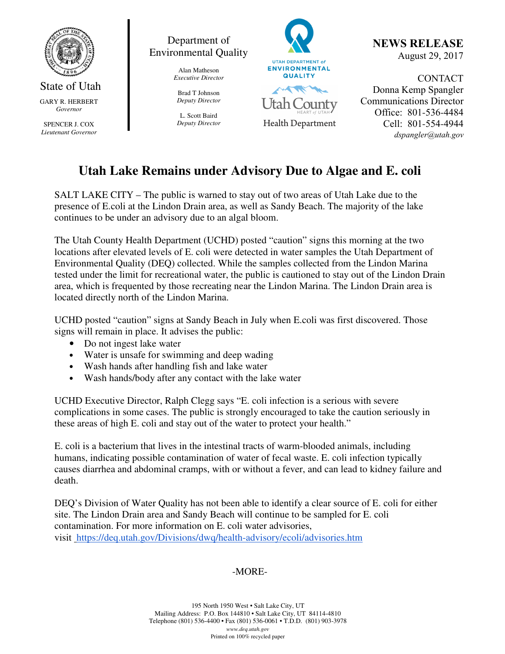

State of Utah GARY R. HERBERT *Governor* 

SPENCER J. COX *Lieutenant Governor* 



Alan Matheson *Executive Director* 

Brad T Johnson *Deputy Director* 

L. Scott Baird *Deputy Director*



NEWS RELEASE August 29, 2017

CONTACT Donna Kemp Spangler Communications Director Office: 801-536-4484 Cell: 801-554-4944 dspangler@utah.gov

# **Utah Lake Remains under Advisory Due to Algae and E. coli**

SALT LAKE CITY – The public is warned to stay out of two areas of Utah Lake due to the presence of E.coli at the Lindon Drain area, as well as Sandy Beach. The majority of the lake continues to be under an advisory due to an algal bloom.

The Utah County Health Department (UCHD) posted "caution" signs this morning at the two locations after elevated levels of E. coli were detected in water samples the Utah Department of Environmental Quality (DEQ) collected. While the samples collected from the Lindon Marina tested under the limit for recreational water, the public is cautioned to stay out of the Lindon Drain area, which is frequented by those recreating near the Lindon Marina. The Lindon Drain area is located directly north of the Lindon Marina.

UCHD posted "caution" signs at Sandy Beach in July when E.coli was first discovered. Those signs will remain in place. It advises the public:

- Do not ingest lake water
- Water is unsafe for swimming and deep wading
- Wash hands after handling fish and lake water
- Wash hands/body after any contact with the lake water

UCHD Executive Director, Ralph Clegg says "E. coli infection is a serious with severe complications in some cases. The public is strongly encouraged to take the caution seriously in these areas of high E. coli and stay out of the water to protect your health."

E. coli is a bacterium that lives in the intestinal tracts of warm-blooded animals, including humans, indicating possible contamination of water of fecal waste. E. coli infection typically causes diarrhea and abdominal cramps, with or without a fever, and can lead to kidney failure and death.

DEQ's Division of Water Quality has not been able to identify a clear source of E. coli for either site. The Lindon Drain area and Sandy Beach will continue to be sampled for E. coli contamination. For more information on E. coli water advisories, visit https://deq.utah.gov/Divisions/dwq/health-advisory/ecoli/advisories.htm

## -MORE-